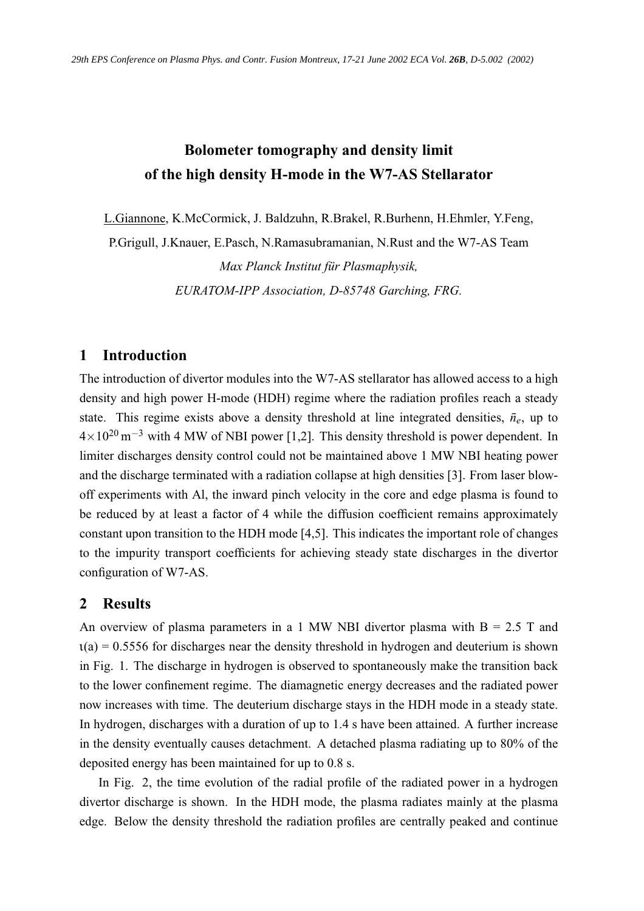# **Bolometer tomography and density limit of the high density H-mode in the W7-AS Stellarator**

L.Giannone, K.McCormick, J. Baldzuhn, R.Brakel, R.Burhenn, H.Ehmler, Y.Feng,

P.Grigull, J.Knauer, E.Pasch, N.Ramasubramanian, N.Rust and the W7-AS Team

*Max Planck Institut für Plasmaphysik, EURATOM-IPP Association, D-85748 Garching, FRG.*

## **1 Introduction**

The introduction of divertor modules into the W7-AS stellarator has allowed access to a high density and high power H-mode (HDH) regime where the radiation profiles reach a steady state. This regime exists above a density threshold at line integrated densities,  $\bar{n}_e$ , up to  $4\times10^{20}$  m<sup>-3</sup> with 4 MW of NBI power [1,2]. This density threshold is power dependent. In limiter discharges density control could not be maintained above 1 MW NBI heating power and the discharge terminated with a radiation collapse at high densities [3]. From laser blowoff experiments with Al, the inward pinch velocity in the core and edge plasma is found to be reduced by at least a factor of 4 while the diffusion coefficient remains approximately constant upon transition to the HDH mode [4,5]. This indicates the important role of changes to the impurity transport coefficients for achieving steady state discharges in the divertor configuration of W7-AS.

### **2 Results**

An overview of plasma parameters in a 1 MW NBI divertor plasma with  $B = 2.5$  T and  $t(a) = 0.5556$  for discharges near the density threshold in hydrogen and deuterium is shown in Fig. 1. The discharge in hydrogen is observed to spontaneously make the transition back to the lower confinement regime. The diamagnetic energy decreases and the radiated power now increases with time. The deuterium discharge stays in the HDH mode in a steady state. In hydrogen, discharges with a duration of up to 1.4 s have been attained. A further increase in the density eventually causes detachment. A detached plasma radiating up to 80% of the deposited energy has been maintained for up to 0.8 s.

In Fig. 2, the time evolution of the radial profile of the radiated power in a hydrogen divertor discharge is shown. In the HDH mode, the plasma radiates mainly at the plasma edge. Below the density threshold the radiation profiles are centrally peaked and continue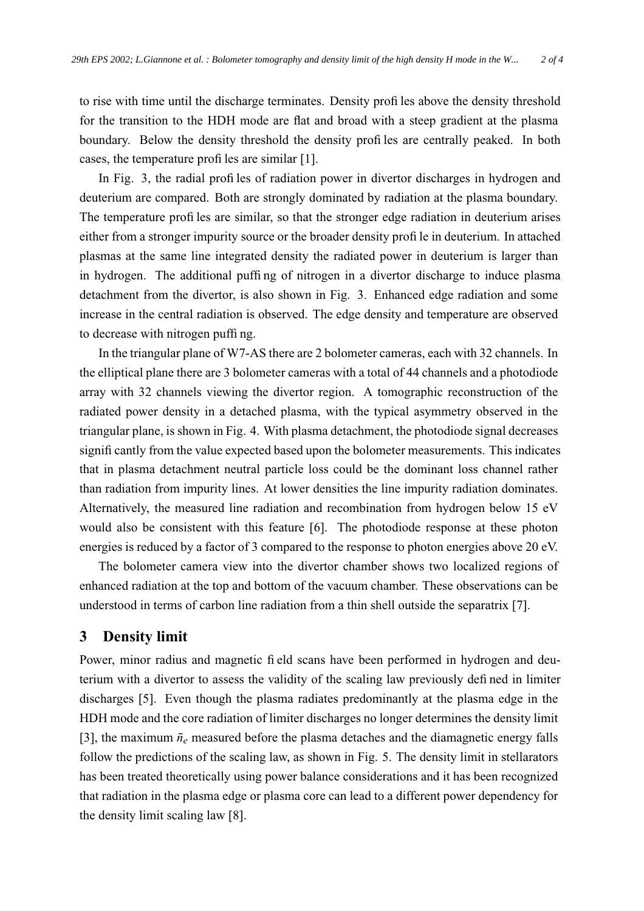to rise with time until the discharge terminates. Density profiles above the density threshold for the transition to the HDH mode are flat and broad with a steep gradient at the plasma boundary. Below the density threshold the density profiles are centrally peaked. In both cases, the temperature profiles are similar [1].

In Fig. 3, the radial profiles of radiation power in divertor discharges in hydrogen and deuterium are compared. Both are strongly dominated by radiation at the plasma boundary. The temperature profiles are similar, so that the stronger edge radiation in deuterium arises either from a stronger impurity source or the broader density profile in deuterium. In attached plasmas at the same line integrated density the radiated power in deuterium is larger than in hydrogen. The additional puffing of nitrogen in a divertor discharge to induce plasma detachment from the divertor, is also shown in Fig. 3. Enhanced edge radiation and some increase in the central radiation is observed. The edge density and temperature are observed to decrease with nitrogen puffing.

In the triangular plane of W7-AS there are 2 bolometer cameras, each with 32 channels. In the elliptical plane there are 3 bolometer cameras with a total of 44 channels and a photodiode array with 32 channels viewing the divertor region. A tomographic reconstruction of the radiated power density in a detached plasma, with the typical asymmetry observed in the triangular plane, isshown in Fig. 4. With plasma detachment, the photodiode signal decreases significantly from the value expected based upon the bolometer measurements. This indicates that in plasma detachment neutral particle loss could be the dominant loss channel rather than radiation from impurity lines. At lower densities the line impurity radiation dominates. Alternatively, the measured line radiation and recombination from hydrogen below 15 eV would also be consistent with this feature [6]. The photodiode response at these photon energies is reduced by a factor of 3 compared to the response to photon energies above 20 eV.

The bolometer camera view into the divertor chamber shows two localized regions of enhanced radiation at the top and bottom of the vacuum chamber. These observations can be understood in terms of carbon line radiation from a thin shell outside the separatrix [7].

### **3 Density limit**

Power, minor radius and magnetic field scans have been performed in hydrogen and deuterium with a divertor to assess the validity of the scaling law previously defined in limiter discharges [5]. Even though the plasma radiates predominantly at the plasma edge in the HDH mode and the core radiation of limiter discharges no longer determines the density limit [3], the maximum  $\bar{n}_e$  measured before the plasma detaches and the diamagnetic energy falls follow the predictions of the scaling law, as shown in Fig. 5. The density limit in stellarators has been treated theoretically using power balance considerations and it has been recognized that radiation in the plasma edge or plasma core can lead to a different power dependency for the density limit scaling law [8].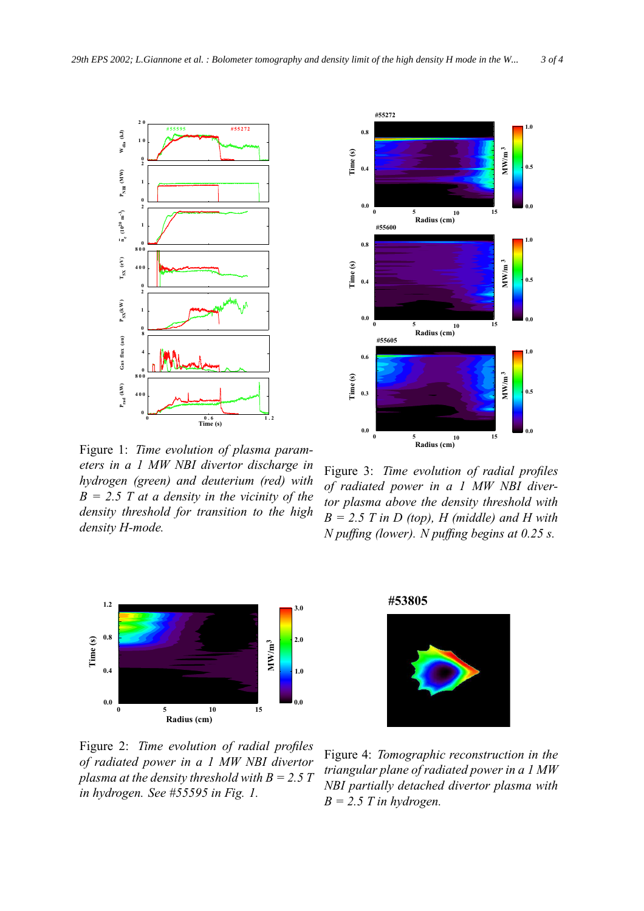

Figure 1: *Time evolution of plasma parameters in a 1 MW NBI divertor discharge in hydrogen (green) and deuterium (red) with B = 2.5 T at a density in the vicinity of the density threshold for transition to the high density H-mode.*



Figure 2: *Time evolution of radial profiles of radiated power in a 1 MW NBI divertor plasma at the density threshold with*  $B = 2.5$  *T in hydrogen. See #55595 in Fig. 1.*



Figure 3: *Time evolution of radial profiles of radiated power in a 1 MW NBI divertor plasma above the density threshold with*  $B = 2.5$  *T* in *D* (top), *H* (middle) and *H* with *N puffing (lower). N puffing begins at 0.25 s.*

**#53805**

Figure 4: *Tomographic reconstruction in the triangular plane of radiated power in a 1 MW NBI partially detached divertor plasma with*  $B = 2.5$  *T* in *hydrogen*.